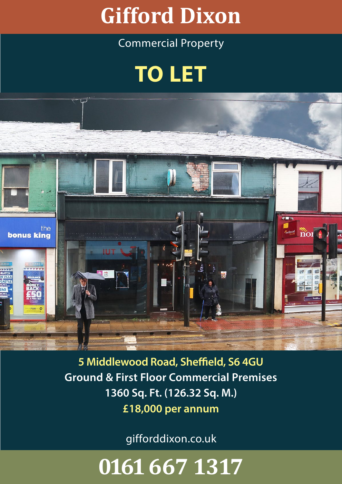### W **Gifford Dixon**

### Commercial Property

## **TO LET**



**5 Middlewood Road, Sheffield, S6 4GU Ground & First Floor Commercial Premises 1360 Sq. Ft. (126.32 Sq. M.) £18,000 per annum**

gifforddixon.co.uk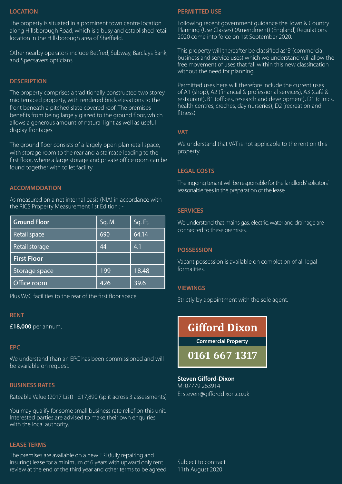#### **LOCATION**

The property is situated in a prominent town centre location along Hillsborough Road, which is a busy and established retail location in the Hillsborough area of Sheffield.

Other nearby operators include Betfred, Subway, Barclays Bank, and Specsavers opticians.

#### **DESCRIPTION**

The property comprises a traditionally constructed two storey mid terraced property, with rendered brick elevations to the front beneath a pitched slate covered roof. The premises benefits from being largely glazed to the ground floor, which allows a generous amount of natural light as well as useful display frontages.

The ground floor consists of a largely open plan retail space, with storage room to the rear and a staircase leading to the first floor, where a large storage and private office room can be found together with toilet facility.

#### **ACCOMMODATION**

As measured on a net internal basis (NIA) in accordance with the RICS Property Measurement 1st Edition : -

| <b>Ground Floor</b> | Sq. M. | Sq. Ft. |
|---------------------|--------|---------|
| Retail space        | 690    | 64.14   |
| Retail storage      | 44     | 4.1     |
| <b>First Floor</b>  |        |         |
| Storage space       | 199    | 18.48   |
| Office room         | 426    | 39.6    |

Plus W/C facilities to the rear of the first floor space.

#### **RENT**

**£18,000** per annum.

#### **EPC**

We understand than an EPC has been commissioned and will be available on request.

#### **BUSINESS RATES**

Rateable Value (2017 List) - £17,890 (split across 3 assessments)

You may qualify for some small business rate relief on this unit. Interested parties are advised to make their own enquiries with the local authority.

#### **LEASE TERMS**

The premises are available on a new FRI (fully repairing and insuring) lease for a minimum of 6 years with upward only rent review at the end of the third year and other terms to be agreed.

#### **PERMITTED USE**

Following recent government guidance the Town & Country Planning (Use Classes) (Amendment) (England) Regulations 2020 come into force on 1st September 2020.

This property will thereafter be classified as 'E' (commercial, business and service uses) which we understand will allow the free movement of uses that fall within this new classification without the need for planning.

Permitted uses here will therefore include the current uses of A1 (shop), A2 (financial & professional services), A3 (café & restaurant), B1 (offices, research and development), D1 (clinics, health centres, creches, day nurseries), D2 (recreation and fitness)

#### **VAT**

We understand that VAT is not applicable to the rent on this property.

#### **LEGAL COSTS**

The ingoing tenant will be responsible for the landlords' solicitors' reasonable fees in the preparation of the lease.

#### **SERVICES**

We understand that mains gas, electric, water and drainage are connected to these premises.

#### **POSSESSION**

Vacant possession is available on completion of all legal formalities.

#### **VIEWINGS**

Strictly by appointment with the sole agent.

### **Gifford Dixon**

**Commercial Property**

**0161 667 1317**

#### **Steven Gifford-Dixon** M: 07779 263914 E: steven@gifforddixon.co.uk

Subject to contract 11th August 2020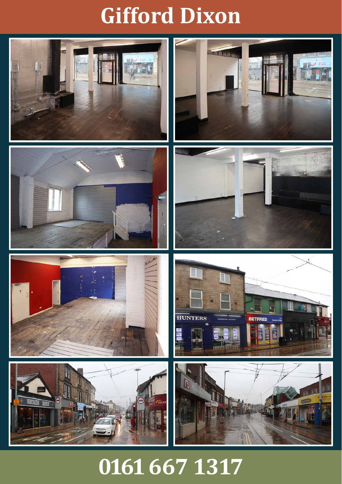### W **Gifford Dixon**

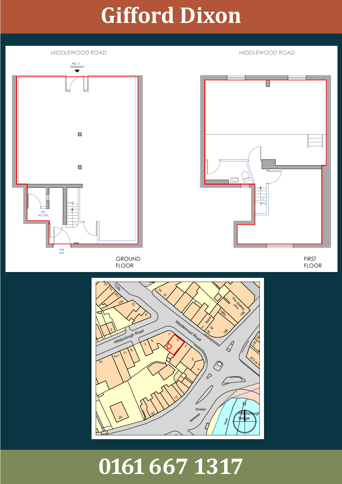## **Gifford Dixon**